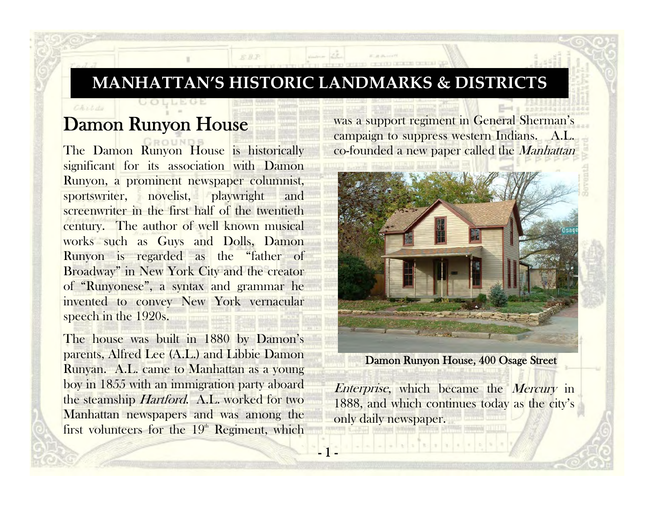## **MANHATTAN'S HISTORIC LANDMARKS & DISTRICTS**

KRP

1 -

## Damon Runyon House

CALLAS

The Damon Runyon House is historically significant for its association with Damon Runyon, a prominent newspaper columnist, sportswriter, novelist, playwright and screenwriter in the first half of the twentieth century. The author of well known musical works such as Guys and Dolls, Damon Runyon is regarded as the "father of Broadway" in New York City and the creator of "Runyonese", a syntax and grammar he invented to convey New York vernacular speech in the 1920s.

The house was built in 1880 by Damon's parents, Alfred Lee (A.L.) and Libbie Damon Runyan. A.L. came to Manhattan as a young boy in 1855 with an immigration party aboard the steamship Hartford. A.L. worked for two Manhattan newspapers and was among the first volunteers for the  $19<sup>th</sup>$  Regiment, which was a support regiment in General Sherman's campaign to suppress western Indians. A.L. co-founded a new paper called the *Manhattan* 



Damon Runyon House, 400 Osage Street

Enterprise, which became the Mercury in 1888, and which continues today as the city's only daily newspaper.